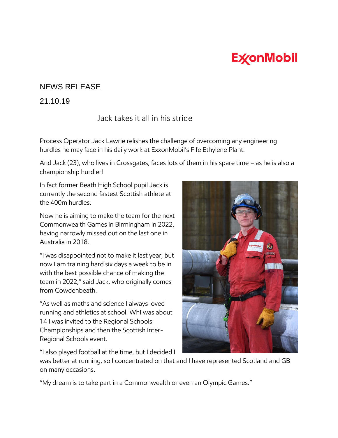## **ExconMobil**

## NEWS RELEASE

## 21.10.19

## Jack takes it all in his stride

Process Operator Jack Lawrie relishes the challenge of overcoming any engineering hurdles he may face in his daily work at ExxonMobil's Fife Ethylene Plant.

And Jack (23), who lives in Crossgates, faces lots of them in his spare time – as he is also a championship hurdler!

In fact former Beath High School pupil Jack is currently the second fastest Scottish athlete at the 400m hurdles.

Now he is aiming to make the team for the next Commonwealth Games in Birmingham in 2022, having narrowly missed out on the last one in Australia in 2018.

"I was disappointed not to make it last year, but now I am training hard six days a week to be in with the best possible chance of making the team in 2022," said Jack, who originally comes from Cowdenbeath.

"As well as maths and science I always loved running and athletics at school. WhI was about 14 I was invited to the Regional Schools Championships and then the Scottish Inter-Regional Schools event.



"I also played football at the time, but I decided I

was better at running, so I concentrated on that and I have represented Scotland and GB on many occasions.

"My dream is to take part in a Commonwealth or even an Olympic Games."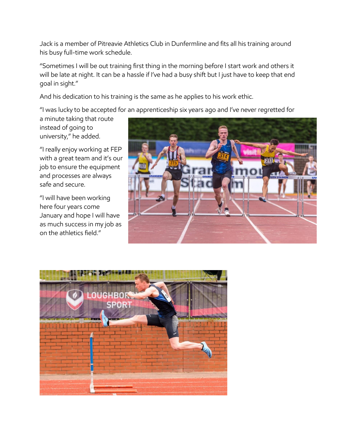Jack is a member of Pitreavie Athletics Club in Dunfermline and fits all his training around his busy full-time work schedule.

"Sometimes I will be out training first thing in the morning before I start work and others it will be late at night. It can be a hassle if I've had a busy shift but I just have to keep that end goal in sight."

And his dedication to his training is the same as he applies to his work ethic.

"I was lucky to be accepted for an apprenticeship six years ago and I've never regretted for

a minute taking that route instead of going to university," he added.

"I really enjoy working at FEP with a great team and it's our job to ensure the equipment and processes are always safe and secure.

"I will have been working here four years come January and hope I will have as much success in my job as on the athletics field."